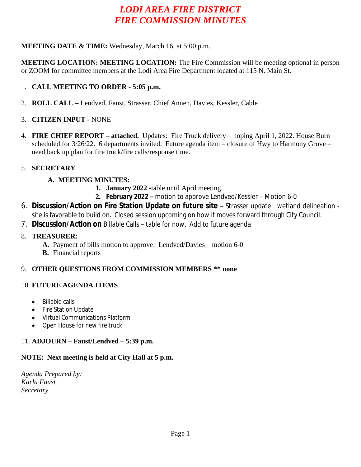# *LODI AREA FIRE DISTRICT FIRE COMMISSION MINUTES*

#### **MEETING DATE & TIME:** Wednesday, March 16, at 5:00 p.m.

**MEETING LOCATION: MEETING LOCATION:** The Fire Commission will be meeting optional in person or ZOOM for committee members at the Lodi Area Fire Department located at 115 N. Main St.

#### 1. **CALL MEETING TO ORDER - 5:05 p.m.**

2. **ROLL CALL –** Lendved, Faust, Strasser, Chief Annen, Davies, Kessler, Cable

#### 3. **CITIZEN INPUT -** NONE

4. **FIRE CHIEF REPORT – attached.** Updates: Fire Truck delivery – hoping April 1, 2022. House Burn scheduled for 3/26/22. 6 departments invited. Future agenda item – closure of Hwy to Harmony Grove – need back up plan for fire truck/fire calls/response time.

#### 5. **SECRETARY**

# **A. MEETING MINUTES:**

- **1. January 2022 -**table until April meeting.
- **2. February 2022 –** motion to approve Lendved/Kessler Motion 6-0
- 6. **Discussion/Action on Fire Station Update on future site** Strasser update: wetland delineation site is favorable to build on. Closed session upcoming on how it moves forward through City Council.
- 7. **Discussion/Action on** Billable Calls table for now. Add to future agenda

#### 8. **TREASURER:**

- **A.** Payment of bills motion to approve: Lendved/Davies motion 6-0
- **B.** Financial reports

# 9. **OTHER QUESTIONS FROM COMMISSION MEMBERS \*\* none**

# 10. **FUTURE AGENDA ITEMS**

- Billable calls
- Fire Station Update
- Virtual Communications Platform
- Open House for new fire truck

# 11. **ADJOURN – Faust/Lendved – 5:39 p.m.**

# **NOTE: Next meeting is held at City Hall at 5 p.m.**

*Agenda Prepared by: Karla Faust Secretary*